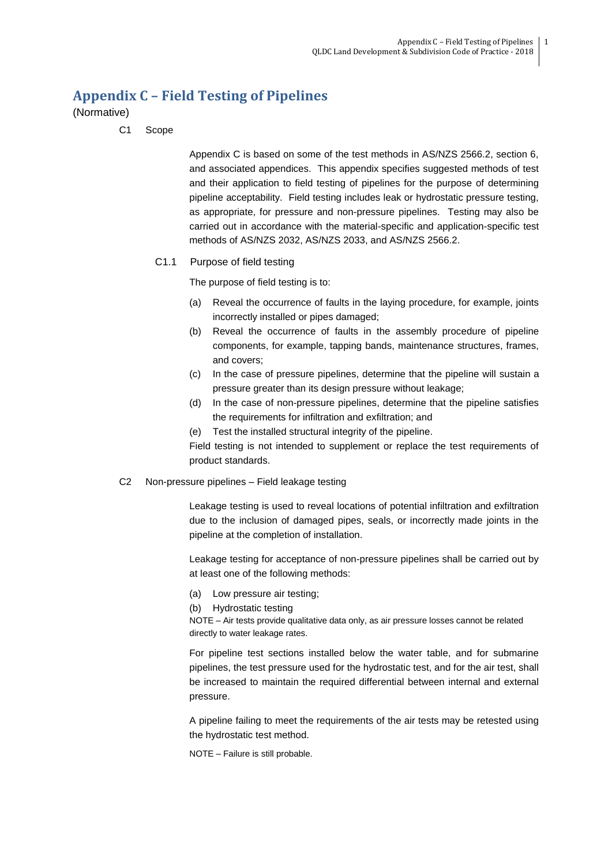# **Appendix C – Field Testing of Pipelines**

(Normative)

C1 Scope

Appendix C is based on some of the test methods in AS/NZS 2566.2, section 6, and associated appendices. This appendix specifies suggested methods of test and their application to field testing of pipelines for the purpose of determining pipeline acceptability. Field testing includes leak or hydrostatic pressure testing, as appropriate, for pressure and non-pressure pipelines. Testing may also be carried out in accordance with the material-specific and application-specific test methods of AS/NZS 2032, AS/NZS 2033, and AS/NZS 2566.2.

# C1.1 Purpose of field testing

The purpose of field testing is to:

- (a) Reveal the occurrence of faults in the laying procedure, for example, joints incorrectly installed or pipes damaged;
- (b) Reveal the occurrence of faults in the assembly procedure of pipeline components, for example, tapping bands, maintenance structures, frames, and covers;
- (c) In the case of pressure pipelines, determine that the pipeline will sustain a pressure greater than its design pressure without leakage;
- (d) In the case of non-pressure pipelines, determine that the pipeline satisfies the requirements for infiltration and exfiltration; and
- (e) Test the installed structural integrity of the pipeline.

Field testing is not intended to supplement or replace the test requirements of product standards.

## C2 Non-pressure pipelines – Field leakage testing

Leakage testing is used to reveal locations of potential infiltration and exfiltration due to the inclusion of damaged pipes, seals, or incorrectly made joints in the pipeline at the completion of installation.

Leakage testing for acceptance of non-pressure pipelines shall be carried out by at least one of the following methods:

- (a) Low pressure air testing;
- (b) Hydrostatic testing

NOTE – Air tests provide qualitative data only, as air pressure losses cannot be related directly to water leakage rates.

For pipeline test sections installed below the water table, and for submarine pipelines, the test pressure used for the hydrostatic test, and for the air test, shall be increased to maintain the required differential between internal and external pressure.

A pipeline failing to meet the requirements of the air tests may be retested using the hydrostatic test method.

NOTE – Failure is still probable.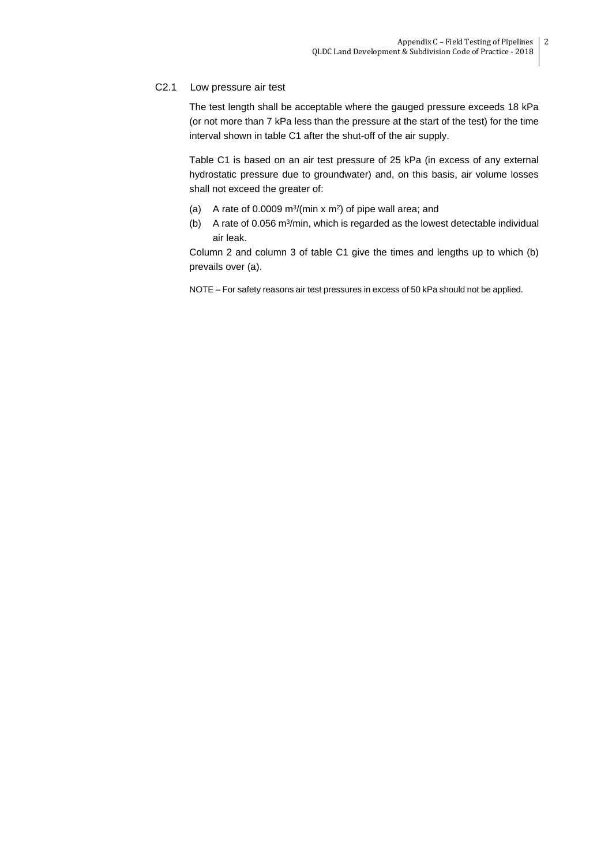# C2.1 Low pressure air test

The test length shall be acceptable where the gauged pressure exceeds 18 kPa (or not more than 7 kPa less than the pressure at the start of the test) for the time interval shown in table C1 after the shut-off of the air supply.

Table C1 is based on an air test pressure of 25 kPa (in excess of any external hydrostatic pressure due to groundwater) and, on this basis, air volume losses shall not exceed the greater of:

- (a) A rate of 0.0009  $\frac{m^3}{m^2}$  are  $\frac{m^2}{m^2}$  of pipe wall area; and
- (b) A rate of 0.056  $m^3/m$ in, which is regarded as the lowest detectable individual air leak.

Column 2 and column 3 of table C1 give the times and lengths up to which (b) prevails over (a).

NOTE – For safety reasons air test pressures in excess of 50 kPa should not be applied.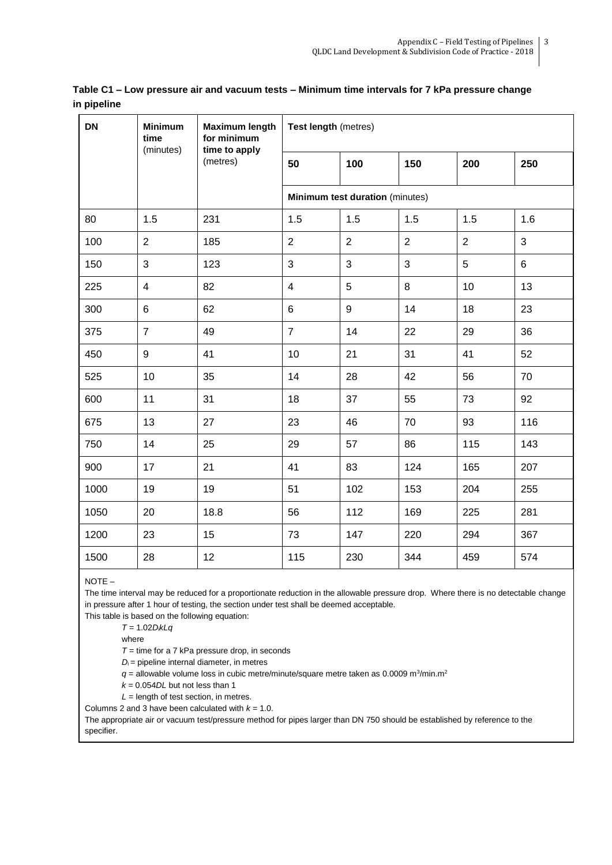| <b>DN</b> | <b>Minimum</b><br>time<br>(minutes) | <b>Maximum length</b><br>for minimum<br>time to apply<br>(metres) | Test length (metres)            |                |                |                |                |
|-----------|-------------------------------------|-------------------------------------------------------------------|---------------------------------|----------------|----------------|----------------|----------------|
|           |                                     |                                                                   | 50                              | 100            | 150            | 200            | 250            |
|           |                                     |                                                                   | Minimum test duration (minutes) |                |                |                |                |
| 80        | 1.5                                 | 231                                                               | 1.5                             | 1.5            | 1.5            | 1.5            | 1.6            |
| 100       | $\overline{2}$                      | 185                                                               | $\overline{2}$                  | $\overline{2}$ | $\overline{2}$ | $\overline{2}$ | 3              |
| 150       | 3                                   | 123                                                               | $\overline{3}$                  | 3              | 3              | 5              | $6\phantom{a}$ |
| 225       | $\overline{\mathbf{4}}$             | 82                                                                | $\overline{\mathcal{A}}$        | 5              | 8              | 10             | 13             |
| 300       | 6                                   | 62                                                                | 6                               | 9              | 14             | 18             | 23             |
| 375       | $\overline{7}$                      | 49                                                                | $\overline{7}$                  | 14             | 22             | 29             | 36             |
| 450       | $\boldsymbol{9}$                    | 41                                                                | 10                              | 21             | 31             | 41             | 52             |
| 525       | 10                                  | 35                                                                | 14                              | 28             | 42             | 56             | 70             |
| 600       | 11                                  | 31                                                                | 18                              | 37             | 55             | 73             | 92             |
| 675       | 13                                  | 27                                                                | 23                              | 46             | 70             | 93             | 116            |
| 750       | 14                                  | 25                                                                | 29                              | 57             | 86             | 115            | 143            |
| 900       | 17                                  | 21                                                                | 41                              | 83             | 124            | 165            | 207            |
| 1000      | 19                                  | 19                                                                | 51                              | 102            | 153            | 204            | 255            |
| 1050      | 20                                  | 18.8                                                              | 56                              | 112            | 169            | 225            | 281            |
| 1200      | 23                                  | 15                                                                | 73                              | 147            | 220            | 294            | 367            |
| 1500      | 28                                  | 12                                                                | 115                             | 230            | 344            | 459            | 574            |

**Table C1 – Low pressure air and vacuum tests – Minimum time intervals for 7 kPa pressure change in pipeline**

NOTE –

The time interval may be reduced for a proportionate reduction in the allowable pressure drop. Where there is no detectable change in pressure after 1 hour of testing, the section under test shall be deemed acceptable.

This table is based on the following equation:

*T* = 1.02*D*i*kLq*

where

*T* = time for a 7 kPa pressure drop, in seconds

 $D_i$  = pipeline internal diameter, in metres

 $q =$  allowable volume loss in cubic metre/minute/square metre taken as 0.0009 m<sup>3</sup>/min.m<sup>2</sup>

 $k = 0.054DL$  but not less than 1

*L* = length of test section, in metres.

Columns 2 and 3 have been calculated with  $k = 1.0$ .

The appropriate air or vacuum test/pressure method for pipes larger than DN 750 should be established by reference to the specifier.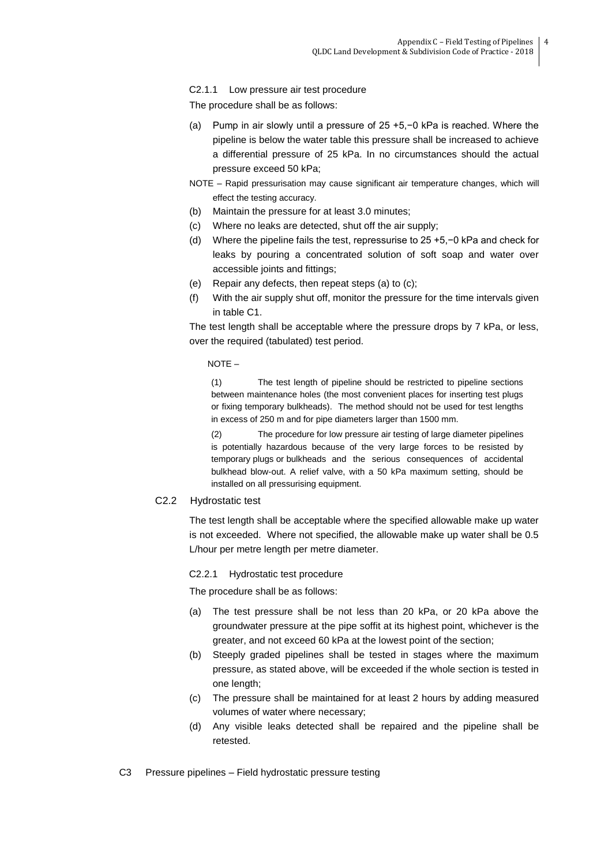## C2.1.1 Low pressure air test procedure

The procedure shall be as follows:

- (a) Pump in air slowly until a pressure of 25 +5,−0 kPa is reached. Where the pipeline is below the water table this pressure shall be increased to achieve a differential pressure of 25 kPa. In no circumstances should the actual pressure exceed 50 kPa;
- NOTE Rapid pressurisation may cause significant air temperature changes, which will effect the testing accuracy.
- (b) Maintain the pressure for at least 3.0 minutes;
- (c) Where no leaks are detected, shut off the air supply;
- (d) Where the pipeline fails the test, repressurise to 25 +5,−0 kPa and check for leaks by pouring a concentrated solution of soft soap and water over accessible joints and fittings;
- (e) Repair any defects, then repeat steps (a) to (c);
- (f) With the air supply shut off, monitor the pressure for the time intervals given in table C1.

The test length shall be acceptable where the pressure drops by 7 kPa, or less, over the required (tabulated) test period.

NOTE –

(1) The test length of pipeline should be restricted to pipeline sections between maintenance holes (the most convenient places for inserting test plugs or fixing temporary bulkheads). The method should not be used for test lengths in excess of 250 m and for pipe diameters larger than 1500 mm.

(2) The procedure for low pressure air testing of large diameter pipelines is potentially hazardous because of the very large forces to be resisted by temporary plugs or bulkheads and the serious consequences of accidental bulkhead blow-out. A relief valve, with a 50 kPa maximum setting, should be installed on all pressurising equipment.

## C2.2 Hydrostatic test

The test length shall be acceptable where the specified allowable make up water is not exceeded. Where not specified, the allowable make up water shall be 0.5 L/hour per metre length per metre diameter.

C2.2.1 Hydrostatic test procedure

The procedure shall be as follows:

- (a) The test pressure shall be not less than 20 kPa, or 20 kPa above the groundwater pressure at the pipe soffit at its highest point, whichever is the greater, and not exceed 60 kPa at the lowest point of the section;
- (b) Steeply graded pipelines shall be tested in stages where the maximum pressure, as stated above, will be exceeded if the whole section is tested in one length;
- (c) The pressure shall be maintained for at least 2 hours by adding measured volumes of water where necessary;
- (d) Any visible leaks detected shall be repaired and the pipeline shall be retested.
- C3 Pressure pipelines Field hydrostatic pressure testing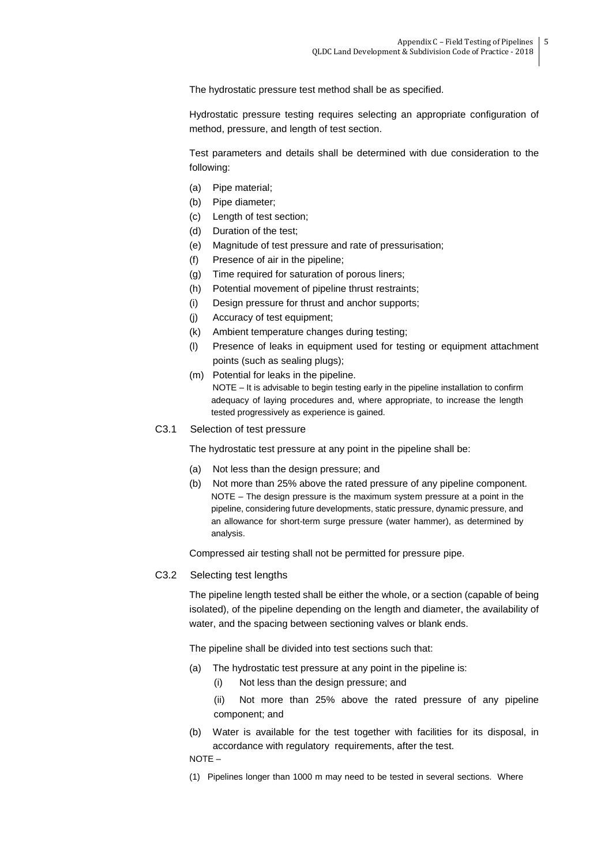The hydrostatic pressure test method shall be as specified.

Hydrostatic pressure testing requires selecting an appropriate configuration of method, pressure, and length of test section.

Test parameters and details shall be determined with due consideration to the following:

- (a) Pipe material;
- (b) Pipe diameter;
- (c) Length of test section;
- (d) Duration of the test;
- (e) Magnitude of test pressure and rate of pressurisation;
- (f) Presence of air in the pipeline;
- (g) Time required for saturation of porous liners;
- (h) Potential movement of pipeline thrust restraints;
- (i) Design pressure for thrust and anchor supports;
- (j) Accuracy of test equipment;
- (k) Ambient temperature changes during testing;
- (l) Presence of leaks in equipment used for testing or equipment attachment points (such as sealing plugs);
- (m) Potential for leaks in the pipeline. NOTE – It is advisable to begin testing early in the pipeline installation to confirm adequacy of laying procedures and, where appropriate, to increase the length tested progressively as experience is gained.
- C3.1 Selection of test pressure

The hydrostatic test pressure at any point in the pipeline shall be:

- (a) Not less than the design pressure; and
- (b) Not more than 25% above the rated pressure of any pipeline component. NOTE – The design pressure is the maximum system pressure at a point in the pipeline, considering future developments, static pressure, dynamic pressure, and an allowance for short-term surge pressure (water hammer), as determined by analysis.

Compressed air testing shall not be permitted for pressure pipe.

## C3.2 Selecting test lengths

The pipeline length tested shall be either the whole, or a section (capable of being isolated), of the pipeline depending on the length and diameter, the availability of water, and the spacing between sectioning valves or blank ends.

The pipeline shall be divided into test sections such that:

- (a) The hydrostatic test pressure at any point in the pipeline is:
	- (i) Not less than the design pressure; and

(ii) Not more than 25% above the rated pressure of any pipeline component; and

(b) Water is available for the test together with facilities for its disposal, in accordance with regulatory requirements, after the test.

NOTE –

(1) Pipelines longer than 1000 m may need to be tested in several sections. Where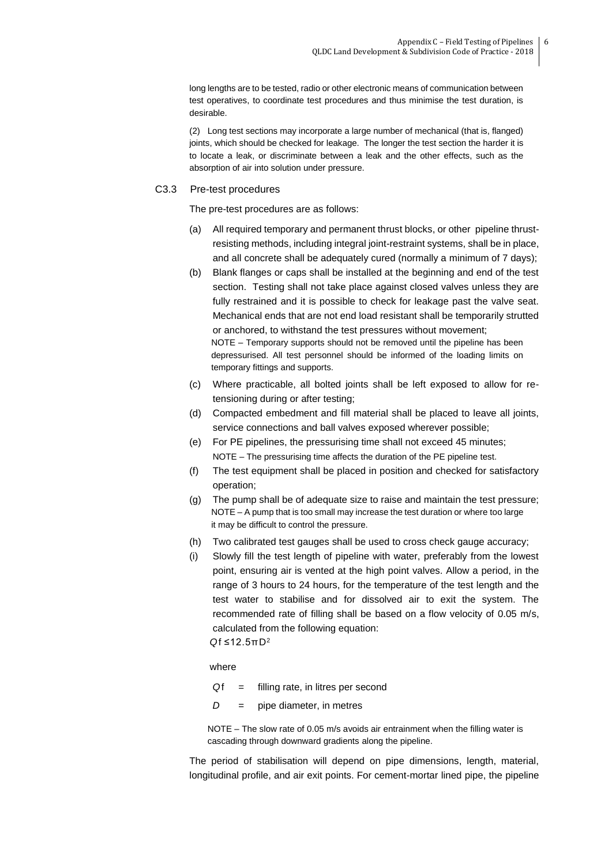long lengths are to be tested, radio or other electronic means of communication between test operatives, to coordinate test procedures and thus minimise the test duration, is desirable.

(2) Long test sections may incorporate a large number of mechanical (that is, flanged) joints, which should be checked for leakage. The longer the test section the harder it is to locate a leak, or discriminate between a leak and the other effects, such as the absorption of air into solution under pressure.

#### C3.3 Pre-test procedures

The pre-test procedures are as follows:

- (a) All required temporary and permanent thrust blocks, or other pipeline thrustresisting methods, including integral joint-restraint systems, shall be in place, and all concrete shall be adequately cured (normally a minimum of 7 days);
- (b) Blank flanges or caps shall be installed at the beginning and end of the test section. Testing shall not take place against closed valves unless they are fully restrained and it is possible to check for leakage past the valve seat. Mechanical ends that are not end load resistant shall be temporarily strutted or anchored, to withstand the test pressures without movement; NOTE – Temporary supports should not be removed until the pipeline has been depressurised. All test personnel should be informed of the loading limits on temporary fittings and supports.
- (c) Where practicable, all bolted joints shall be left exposed to allow for retensioning during or after testing;
- (d) Compacted embedment and fill material shall be placed to leave all joints, service connections and ball valves exposed wherever possible;
- (e) For PE pipelines, the pressurising time shall not exceed 45 minutes; NOTE – The pressurising time affects the duration of the PE pipeline test.
- (f) The test equipment shall be placed in position and checked for satisfactory operation;
- (g) The pump shall be of adequate size to raise and maintain the test pressure; NOTE – A pump that is too small may increase the test duration or where too large it may be difficult to control the pressure.
- (h) Two calibrated test gauges shall be used to cross check gauge accuracy;
- (i) Slowly fill the test length of pipeline with water, preferably from the lowest point, ensuring air is vented at the high point valves. Allow a period, in the range of 3 hours to 24 hours, for the temperature of the test length and the test water to stabilise and for dissolved air to exit the system. The recommended rate of filling shall be based on a flow velocity of 0.05 m/s, calculated from the following equation: *Q*f ≤12.5πD<sup>2</sup>

where

- *Q*f = filling rate, in litres per second
- *D* = pipe diameter, in metres

NOTE – The slow rate of 0.05 m/s avoids air entrainment when the filling water is cascading through downward gradients along the pipeline.

The period of stabilisation will depend on pipe dimensions, length, material, longitudinal profile, and air exit points. For cement-mortar lined pipe, the pipeline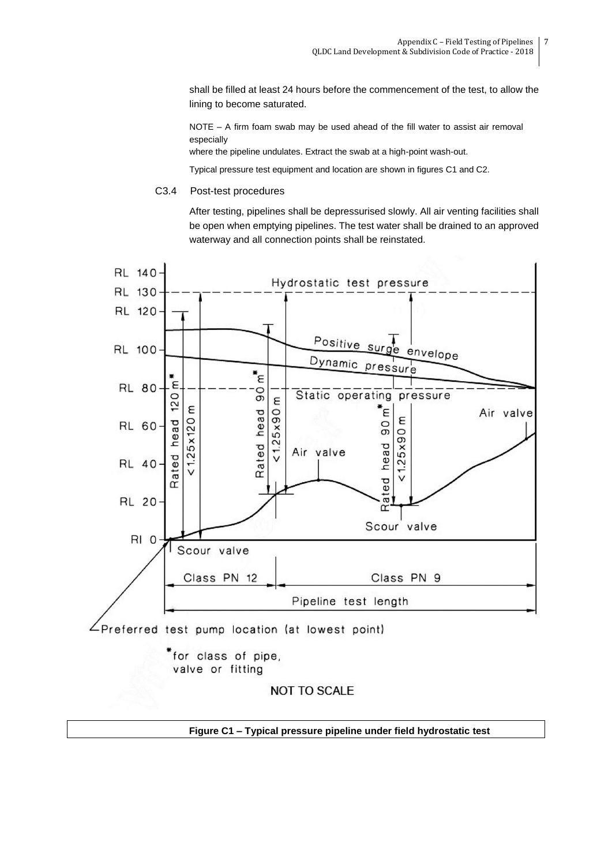shall be filled at least 24 hours before the commencement of the test, to allow the lining to become saturated.

NOTE – A firm foam swab may be used ahead of the fill water to assist air removal especially

where the pipeline undulates. Extract the swab at a high-point wash-out.

Typical pressure test equipment and location are shown in figures C1 and C2.

C3.4 Post-test procedures

After testing, pipelines shall be depressurised slowly. All air venting facilities shall be open when emptying pipelines. The test water shall be drained to an approved waterway and all connection points shall be reinstated.



valve or fitting

**NOT TO SCALE** 

**Figure C1 – Typical pressure pipeline under field hydrostatic test**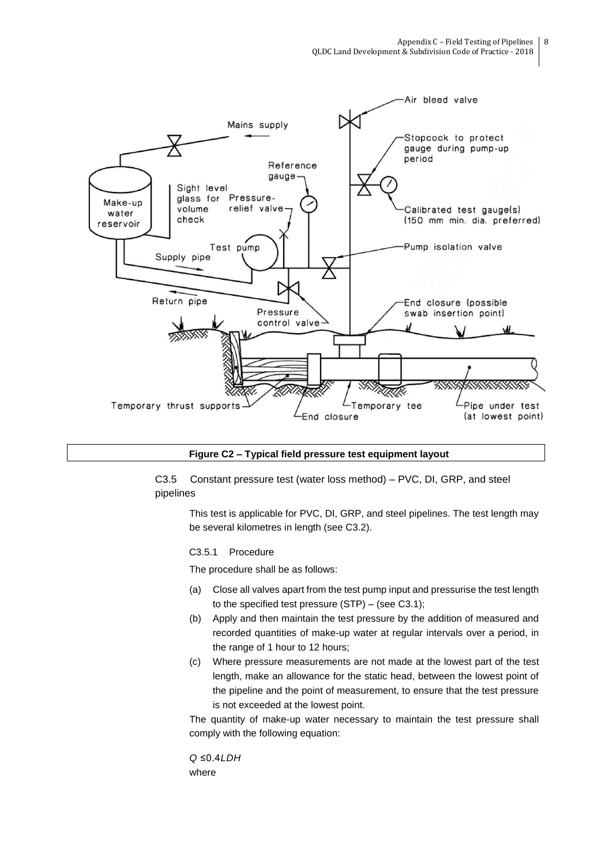

#### **Figure C2 – Typical field pressure test equipment layout**

C3.5 Constant pressure test (water loss method) – PVC, DI, GRP, and steel pipelines

This test is applicable for PVC, DI, GRP, and steel pipelines. The test length may be several kilometres in length (see C3.2).

# C3.5.1 Procedure

The procedure shall be as follows:

- (a) Close all valves apart from the test pump input and pressurise the test length to the specified test pressure (STP) – (see C3.1);
- (b) Apply and then maintain the test pressure by the addition of measured and recorded quantities of make-up water at regular intervals over a period, in the range of 1 hour to 12 hours;
- (c) Where pressure measurements are not made at the lowest part of the test length, make an allowance for the static head, between the lowest point of the pipeline and the point of measurement, to ensure that the test pressure is not exceeded at the lowest point.

The quantity of make-up water necessary to maintain the test pressure shall comply with the following equation:

*Q* ≤0.4*LDH*  where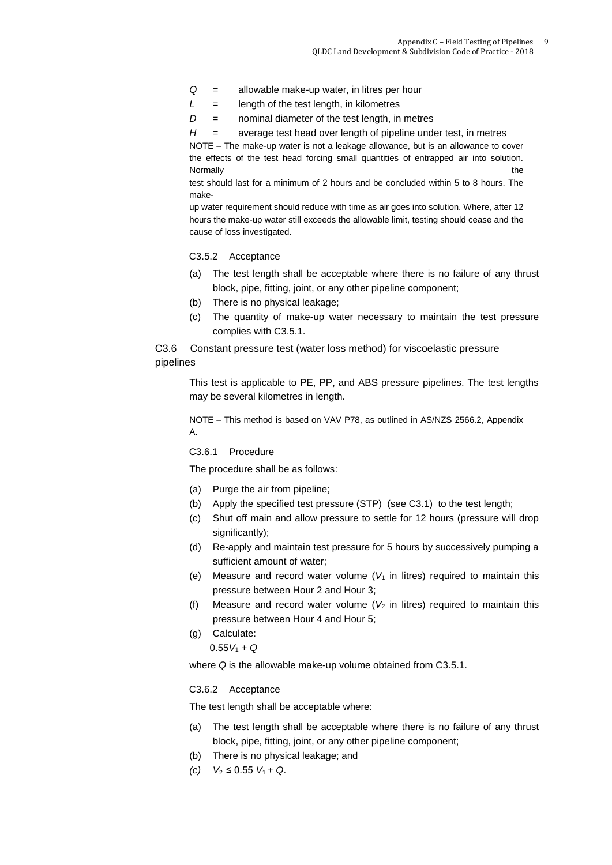- *Q* = allowable make-up water, in litres per hour
- *L* = length of the test length, in kilometres
- *D* = nominal diameter of the test length, in metres

*H* = average test head over length of pipeline under test, in metres

NOTE – The make-up water is not a leakage allowance, but is an allowance to cover the effects of the test head forcing small quantities of entrapped air into solution. Normally the contract of the contract of the contract of the contract of the contract of the contract of the contract of the contract of the contract of the contract of the contract of the contract of the contract of the c

test should last for a minimum of 2 hours and be concluded within 5 to 8 hours. The make-

up water requirement should reduce with time as air goes into solution. Where, after 12 hours the make-up water still exceeds the allowable limit, testing should cease and the cause of loss investigated.

#### C3.5.2 Acceptance

- (a) The test length shall be acceptable where there is no failure of any thrust block, pipe, fitting, joint, or any other pipeline component;
- (b) There is no physical leakage;
- (c) The quantity of make-up water necessary to maintain the test pressure complies with C3.5.1.

C3.6 Constant pressure test (water loss method) for viscoelastic pressure pipelines

This test is applicable to PE, PP, and ABS pressure pipelines. The test lengths may be several kilometres in length.

NOTE – This method is based on VAV P78, as outlined in AS/NZS 2566.2, Appendix A.

C3.6.1 Procedure

The procedure shall be as follows:

- (a) Purge the air from pipeline;
- (b) Apply the specified test pressure (STP) (see C3.1) to the test length;
- (c) Shut off main and allow pressure to settle for 12 hours (pressure will drop significantly);
- (d) Re-apply and maintain test pressure for 5 hours by successively pumping a sufficient amount of water;
- (e) Measure and record water volume  $(V_1$  in litres) required to maintain this pressure between Hour 2 and Hour 3;
- (f) Measure and record water volume  $(V_2$  in litres) required to maintain this pressure between Hour 4 and Hour 5;
- (g) Calculate:
	- $0.55V_1 + Q$

where *Q* is the allowable make-up volume obtained from C3.5.1.

#### C3.6.2 Acceptance

The test length shall be acceptable where:

- (a) The test length shall be acceptable where there is no failure of any thrust block, pipe, fitting, joint, or any other pipeline component;
- (b) There is no physical leakage; and
- *(c)*  $V_2$  ≤ 0.55  $V_1$  + *Q*.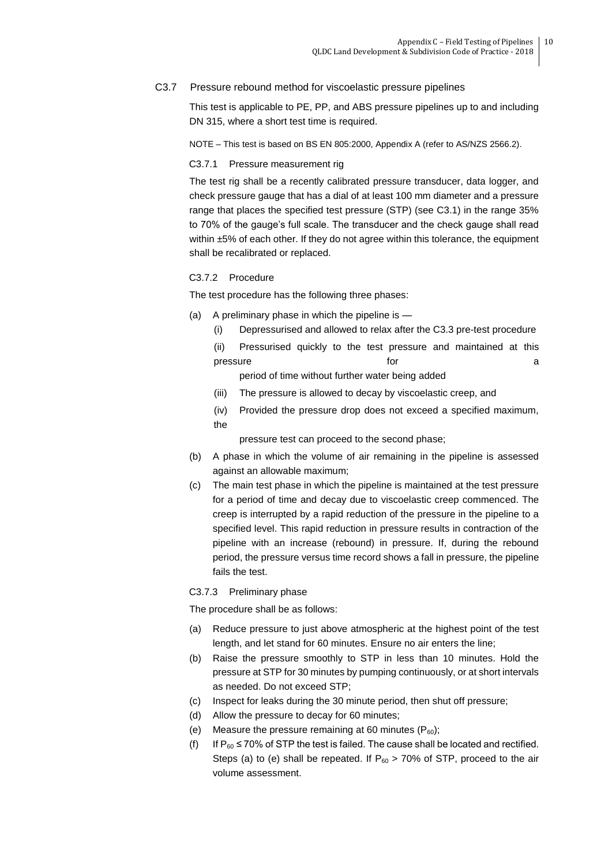## C3.7 Pressure rebound method for viscoelastic pressure pipelines

This test is applicable to PE, PP, and ABS pressure pipelines up to and including DN 315, where a short test time is required.

NOTE – This test is based on BS EN 805:2000, Appendix A (refer to AS/NZS 2566.2).

#### C3.7.1 Pressure measurement rig

The test rig shall be a recently calibrated pressure transducer, data logger, and check pressure gauge that has a dial of at least 100 mm diameter and a pressure range that places the specified test pressure (STP) (see C3.1) in the range 35% to 70% of the gauge's full scale. The transducer and the check gauge shall read within  $\pm 5\%$  of each other. If they do not agree within this tolerance, the equipment shall be recalibrated or replaced.

## C3.7.2 Procedure

The test procedure has the following three phases:

- (a) A preliminary phase in which the pipeline is
	- (i) Depressurised and allowed to relax after the C3.3 pre-test procedure
	- (ii) Pressurised quickly to the test pressure and maintained at this pressure and a set of the set of the set of the set of the set of the set of the set of the set of the set of the set of the set of the set of the set of the set of the set of the set of the set of the set of the set of th

period of time without further water being added

- (iii) The pressure is allowed to decay by viscoelastic creep, and
- (iv) Provided the pressure drop does not exceed a specified maximum, the

pressure test can proceed to the second phase;

- (b) A phase in which the volume of air remaining in the pipeline is assessed against an allowable maximum;
- (c) The main test phase in which the pipeline is maintained at the test pressure for a period of time and decay due to viscoelastic creep commenced. The creep is interrupted by a rapid reduction of the pressure in the pipeline to a specified level. This rapid reduction in pressure results in contraction of the pipeline with an increase (rebound) in pressure. If, during the rebound period, the pressure versus time record shows a fall in pressure, the pipeline fails the test.

C3.7.3 Preliminary phase

The procedure shall be as follows:

- (a) Reduce pressure to just above atmospheric at the highest point of the test length, and let stand for 60 minutes. Ensure no air enters the line;
- (b) Raise the pressure smoothly to STP in less than 10 minutes. Hold the pressure at STP for 30 minutes by pumping continuously, or at short intervals as needed. Do not exceed STP;
- (c) Inspect for leaks during the 30 minute period, then shut off pressure;
- (d) Allow the pressure to decay for 60 minutes;
- (e) Measure the pressure remaining at 60 minutes  $(P_{60})$ ;
- (f) If  $P_{60} \le 70\%$  of STP the test is failed. The cause shall be located and rectified. Steps (a) to (e) shall be repeated. If  $P_{60} > 70\%$  of STP, proceed to the air volume assessment.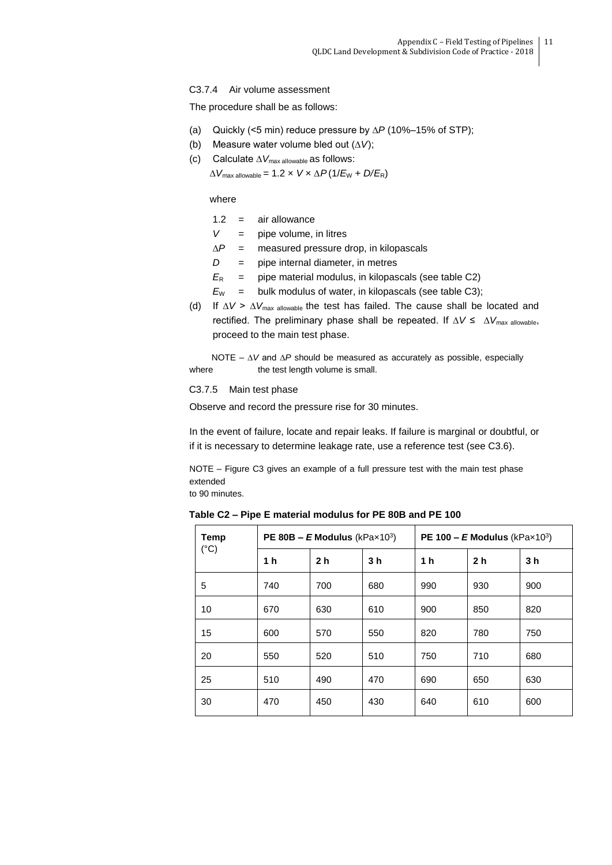## C3.7.4 Air volume assessment

The procedure shall be as follows:

- (a) Quickly (<5 min) reduce pressure by ∆*P* (10%–15% of STP);
- (b) Measure water volume bled out (∆*V*);
- (c) Calculate ∆*V*max allowable as follows:

 $\Delta V_{\text{max}$  allowable = 1.2 ×  $V \times \Delta P(1/E_{\text{W}} + D/E_{\text{R}})$ 

where

- $1.2 =$ air allowance
- $V =$  pipe volume, in litres
- ∆*P* = measured pressure drop, in kilopascals
- *D* = pipe internal diameter, in metres
- $E_R$  = pipe material modulus, in kilopascals (see table C2)
- $E_W$  = bulk modulus of water, in kilopascals (see table C3);
- (d) If ∆*V* > ∆*V*max allowable the test has failed. The cause shall be located and rectified. The preliminary phase shall be repeated. If ∆*V* ≤ ∆*V*max allowable, proceed to the main test phase.

NOTE – ∆*V* and ∆*P* should be measured as accurately as possible, especially where the test length volume is small.

#### C3.7.5 Main test phase

Observe and record the pressure rise for 30 minutes.

In the event of failure, locate and repair leaks. If failure is marginal or doubtful, or if it is necessary to determine leakage rate, use a reference test (see C3.6).

NOTE – Figure C3 gives an example of a full pressure test with the main test phase extended

to 90 minutes.

**Table C2 – Pipe E material modulus for PE 80B and PE 100**

| Temp          |                | <b>PE 80B – E Modulus</b> (kPax103) |                | <b>PE 100 – E Modulus</b> (kPax103) |                |                |
|---------------|----------------|-------------------------------------|----------------|-------------------------------------|----------------|----------------|
| $(^{\circ}C)$ | 1 <sub>h</sub> | 2 <sub>h</sub>                      | 3 <sub>h</sub> | 1 <sub>h</sub>                      | 2 <sub>h</sub> | 3 <sub>h</sub> |
| 5             | 740            | 700                                 | 680            | 990                                 | 930            | 900            |
| 10            | 670            | 630                                 | 610            | 900                                 | 850            | 820            |
| 15            | 600            | 570                                 | 550            | 820                                 | 780            | 750            |
| 20            | 550            | 520                                 | 510            | 750                                 | 710            | 680            |
| 25            | 510            | 490                                 | 470            | 690                                 | 650            | 630            |
| 30            | 470            | 450                                 | 430            | 640                                 | 610            | 600            |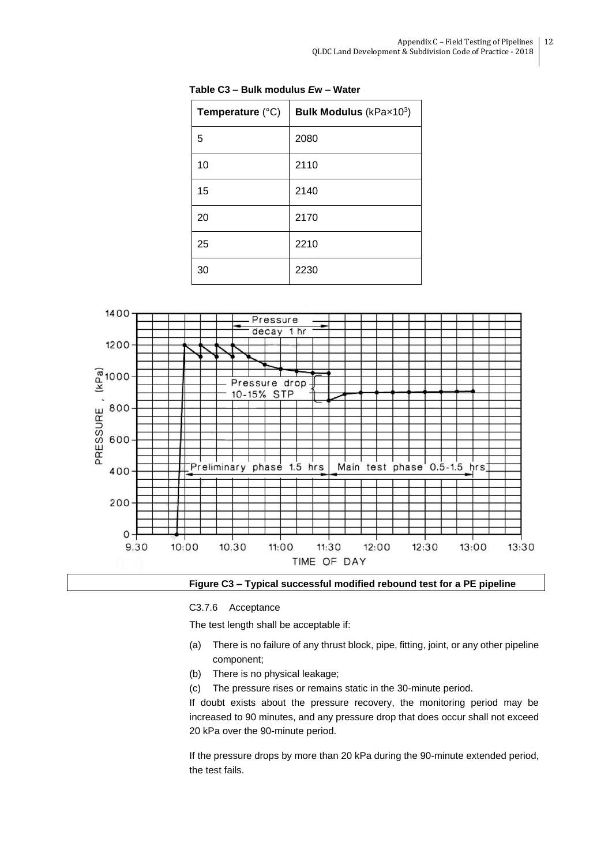| Temperature $(^{\circ}C)$ | <b>Bulk Modulus</b> ( $k$ Pa $\times$ 10 <sup>3</sup> ) |  |  |
|---------------------------|---------------------------------------------------------|--|--|
| 5                         | 2080                                                    |  |  |
| 10                        | 2110                                                    |  |  |
| 15                        | 2140                                                    |  |  |
| 20                        | 2170                                                    |  |  |
| 25                        | 2210                                                    |  |  |
| 30                        | 2230                                                    |  |  |

**Table C3 – Bulk modulus** *E***w – Water**



**Figure C3 – Typical successful modified rebound test for a PE pipeline**

## C3.7.6 Acceptance

The test length shall be acceptable if:

- (a) There is no failure of any thrust block, pipe, fitting, joint, or any other pipeline component;
- (b) There is no physical leakage;
- (c) The pressure rises or remains static in the 30-minute period.

If doubt exists about the pressure recovery, the monitoring period may be increased to 90 minutes, and any pressure drop that does occur shall not exceed 20 kPa over the 90-minute period.

If the pressure drops by more than 20 kPa during the 90-minute extended period, the test fails.